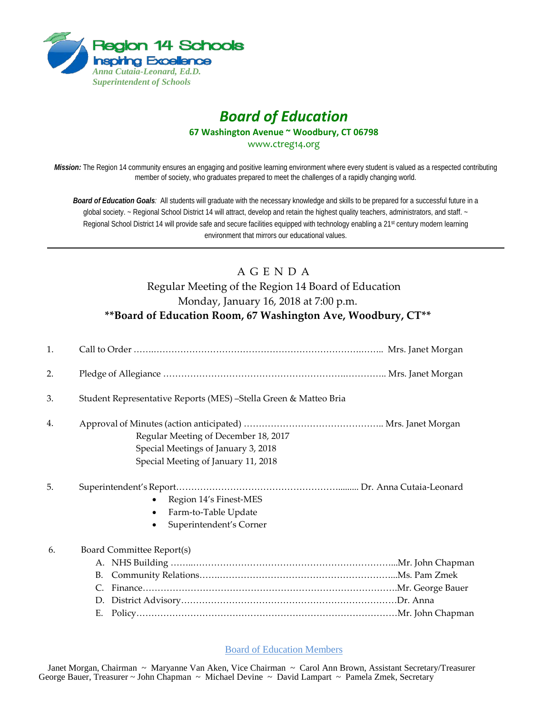

## *Board of Education* **67 Washington Avenue ~ Woodbury, CT 06798**

www.ctreg14.org

*Mission:* The Region 14 community ensures an engaging and positive learning environment where every student is valued as a respected contributing member of society, who graduates prepared to meet the challenges of a rapidly changing world.

*Board of Education Goals:* All students will graduate with the necessary knowledge and skills to be prepared for a successful future in a global society. ~ Regional School District 14 will attract, develop and retain the highest quality teachers, administrators, and staff. ~ Regional School District 14 will provide safe and secure facilities equipped with technology enabling a 21<sup>st</sup> century modern learning environment that mirrors our educational values.

## A G E N D A Regular Meeting of the Region 14 Board of Education Monday, January 16, 2018 at 7:00 p.m. **\*\*Board of Education Room, 67 Washington Ave, Woodbury, CT\*\***

| 1. |                                                                                                                    |  |
|----|--------------------------------------------------------------------------------------------------------------------|--|
| 2. |                                                                                                                    |  |
| 3. | Student Representative Reports (MES) – Stella Green & Matteo Bria                                                  |  |
| 4. | Regular Meeting of December 18, 2017<br>Special Meetings of January 3, 2018<br>Special Meeting of January 11, 2018 |  |
| 5. | Region 14's Finest-MES<br>Farm-to-Table Update<br>Superintendent's Corner                                          |  |
| 6. | Board Committee Report(s)<br>B.<br>$C_{\cdot}$<br>D.<br>Е.                                                         |  |

Board of Education Members